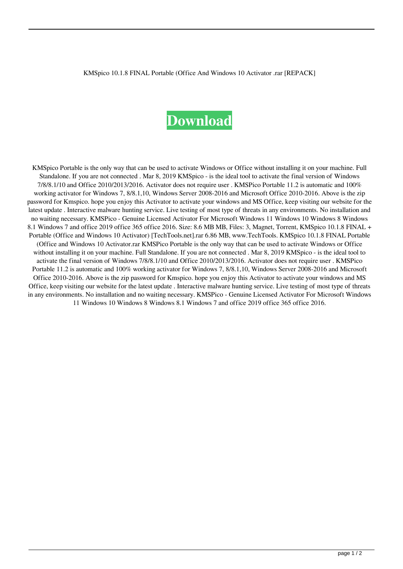KMSpico 10.1.8 FINAL Portable (Office And Windows 10 Activator .rar [REPACK]

## **[Download](http://evacdir.com/castellano/ZG93bmxvYWR8eVM1YUdKc2VueDhNVFkxTlRnME1qazRNWHg4TWpVNU1IeDhLRTBwSUZkdmNtUndjbVZ6Y3lCYldFMU1VbEJESUZZeUlGQkVSbDA?S01TcGljbyAxMC4xLjggRklOQUwgUG9ydGFibGUgKE9mZmljZSBhbmQgV2luZG93cyAxMCBBY3RpdmF0b3IgLnJhcgS01=croft=maddona=copyrightable)**

KMSpico Portable is the only way that can be used to activate Windows or Office without installing it on your machine. Full Standalone. If you are not connected . Mar 8, 2019 KMSpico - is the ideal tool to activate the final version of Windows 7/8/8.1/10 and Office 2010/2013/2016. Activator does not require user . KMSPico Portable 11.2 is automatic and 100% working activator for Windows 7, 8/8.1,10, Windows Server 2008-2016 and Microsoft Office 2010-2016. Above is the zip password for Kmspico. hope you enjoy this Activator to activate your windows and MS Office, keep visiting our website for the latest update . Interactive malware hunting service. Live testing of most type of threats in any environments. No installation and no waiting necessary. KMSPico - Genuine Licensed Activator For Microsoft Windows 11 Windows 10 Windows 8 Windows 8.1 Windows 7 and office 2019 office 365 office 2016. Size: 8.6 MB MB, Files: 3, Magnet, Torrent, KMSpico 10.1.8 FINAL + Portable (Office and Windows 10 Activator) [TechTools.net].rar 6.86 MB, www.TechTools. KMSpico 10.1.8 FINAL Portable (Office and Windows 10 Activator.rar KMSPico Portable is the only way that can be used to activate Windows or Office without installing it on your machine. Full Standalone. If you are not connected . Mar 8, 2019 KMSpico - is the ideal tool to activate the final version of Windows 7/8/8.1/10 and Office 2010/2013/2016. Activator does not require user . KMSPico Portable 11.2 is automatic and 100% working activator for Windows 7, 8/8.1,10, Windows Server 2008-2016 and Microsoft Office 2010-2016. Above is the zip password for Kmspico. hope you enjoy this Activator to activate your windows and MS Office, keep visiting our website for the latest update . Interactive malware hunting service. Live testing of most type of threats in any environments. No installation and no waiting necessary. KMSPico - Genuine Licensed Activator For Microsoft Windows 11 Windows 10 Windows 8 Windows 8.1 Windows 7 and office 2019 office 365 office 2016.